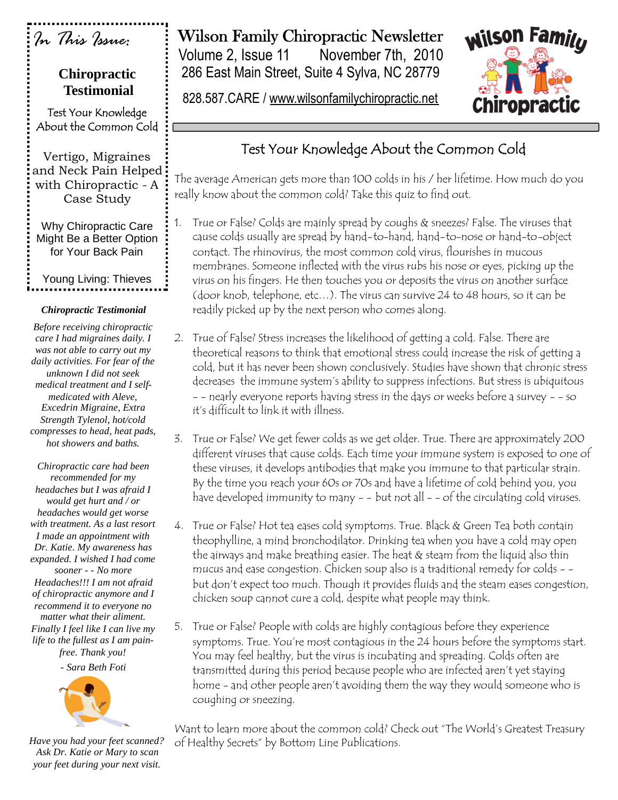| In This Issue:<br><b>Chiropractic</b><br><b>Testimonial</b>                                                                                                                                                                                                                                                          | <b>Wilson Family Chiropractic Newsletter</b><br><b>Wilson Familu</b><br>Volume 2, Issue 11<br>November 7th, 2010<br>286 East Main Street, Suite 4 Sylva, NC 28779<br>828.587.CARE / www.wilsonfamilychiropractic.net<br>Chiropractic                                                                                                                                                                                                                                                                                                                              |
|----------------------------------------------------------------------------------------------------------------------------------------------------------------------------------------------------------------------------------------------------------------------------------------------------------------------|-------------------------------------------------------------------------------------------------------------------------------------------------------------------------------------------------------------------------------------------------------------------------------------------------------------------------------------------------------------------------------------------------------------------------------------------------------------------------------------------------------------------------------------------------------------------|
| Test Your Knowledge<br>About the Common Cold                                                                                                                                                                                                                                                                         |                                                                                                                                                                                                                                                                                                                                                                                                                                                                                                                                                                   |
| Vertigo, Migraines<br>and Neck Pain Helped<br>with Chiropractic - A<br>Case Study                                                                                                                                                                                                                                    | Test Your Knowledge About the Common Cold<br>The average American gets more than 100 colds in his / her lifetime. How much do you<br>really know about the common cold? Take this quiz to find out.                                                                                                                                                                                                                                                                                                                                                               |
| Why Chiropractic Care<br>Might Be a Better Option<br>for Your Back Pain                                                                                                                                                                                                                                              | True or False? Colds are mainly spread by coughs & sneezes? False. The viruses that<br>1.<br>cause colds usually are spread by hand-to-hand, hand-to-nose or hand-to-object<br>contact. The rhinovirus, the most common cold virus, flourishes in mucous<br>membranes. Someone inflected with the virus rubs his nose or eyes, picking up the                                                                                                                                                                                                                     |
| Young Living: Thieves                                                                                                                                                                                                                                                                                                | virus on his fingers. He then touches you or deposits the virus on another surface<br>(door knob, telephone, etc). The virus can survive 24 to 48 hours, so it can be                                                                                                                                                                                                                                                                                                                                                                                             |
| <b>Chiropractic Testimonial</b><br>Before receiving chiropractic<br>care I had migraines daily. I<br>was not able to carry out my<br>daily activities. For fear of the<br>unknown I did not seek<br>medical treatment and I self-<br>medicated with Aleve,<br>Excedrin Migraine, Extra<br>Strength Tylenol, hot/cold | readily picked up by the next person who comes along.<br>2. True of False? Stress increases the likelihood of getting a cold. False. There are<br>theoretical reasons to think that emotional stress could increase the risk of getting a<br>cold, but it has never been shown conclusively. Studies have shown that chronic stress<br>decreases the immune system's ability to suppress infections. But stress is ubiquitous<br>- - nearly everyone reports having stress in the days or weeks before a survey - - so<br>it's difficult to link it with illness. |
| compresses to head, heat pads,<br>hot showers and baths.<br>Chiropractic care had been<br>recommended for my<br>headaches but I was afraid I<br>would get hurt and / or                                                                                                                                              | True or False? We get fewer colds as we get older. True. There are approximately 200<br>3.<br>different viruses that cause colds. Each time your immune system is exposed to one of<br>these viruses, it develops antibodies that make you immune to that particular strain.<br>By the time you reach your 60s or 70s and have a lifetime of cold behind you, you<br>have developed immunity to many - - but not all - - of the circulating cold viruses.                                                                                                         |
| headaches would get worse<br>with treatment. As a last resort<br>I made an appointment with<br>Dr. Katie. My awareness has<br>expanded. I wished I had come<br>sooner - - No more<br>Headaches!!! I am not afraid<br>of chiropractic anymore and I<br>recommend it to everyone no                                    | 4. True or False? Hot tea eases cold symptoms. True. Black & Green Tea both contain<br>theophylline, a mind bronchodilator. Drinking tea when you have a cold may open<br>the airways and make breathing easier. The heat & steam from the liquid also thin<br>mucus and ease congestion. Chicken soup also is a traditional remedy for colds - -<br>but don't expect too much. Though it provides fluids and the steam eases congestion,<br>chicken soup cannot cure a cold, despite what people may think.                                                      |
| matter what their aliment.<br>Finally I feel like I can live my<br>life to the fullest as I am pain-<br>free. Thank you!<br>- Sara Beth Foti                                                                                                                                                                         | True or False? People with colds are highly contagious before they experience<br>5.<br>symptoms. True. You're most contagious in the 24 hours before the symptoms start.<br>You may feel healthy, but the virus is incubating and spreading. Colds often are<br>transmitted during this period because people who are infected aren't yet staying<br>home - and other people aren't avoiding them the way they would someone who is<br>coughing or sneezing.                                                                                                      |
| Have you had your feet scanned?<br>Ask Dr. Katie or Mary to scan                                                                                                                                                                                                                                                     | Want to learn more about the common cold? Check out "The World's Greatest Treasury<br>of Healthy Secrets" by Bottom Line Publications.                                                                                                                                                                                                                                                                                                                                                                                                                            |

*your feet during your next visit.*